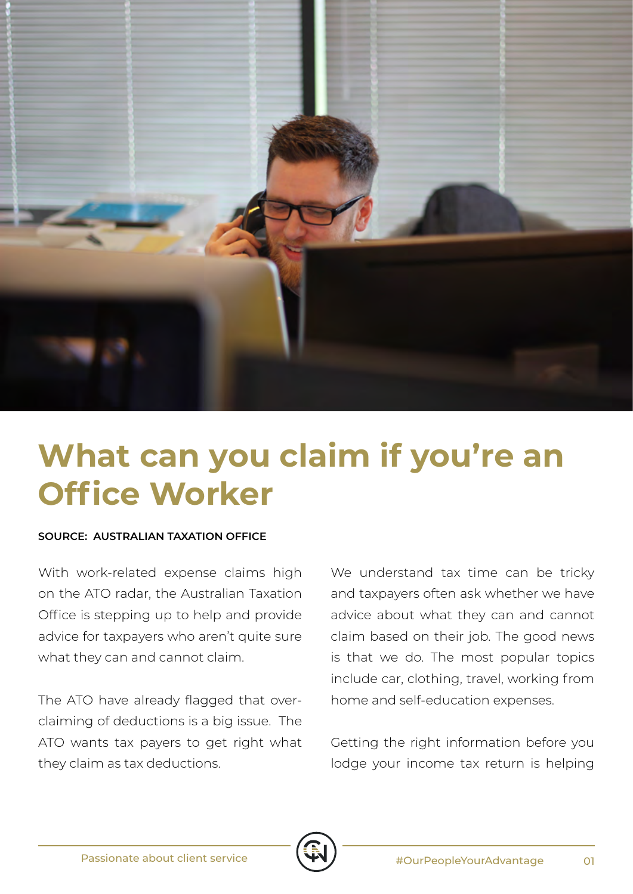

## **What can you claim if you're an Office Worker**

## **SOURCE: AUSTRALIAN TAXATION OFFICE**

With work-related expense claims high on the ATO radar, the Australian Taxation Office is stepping up to help and provide advice for taxpayers who aren't quite sure what they can and cannot claim.

The ATO have already flagged that overclaiming of deductions is a big issue. The ATO wants tax payers to get right what they claim as tax deductions.

We understand tax time can be tricky and taxpayers often ask whether we have advice about what they can and cannot claim based on their job. The good news is that we do. The most popular topics include car, clothing, travel, working from home and self-education expenses.

Getting the right information before you lodge your income tax return is helping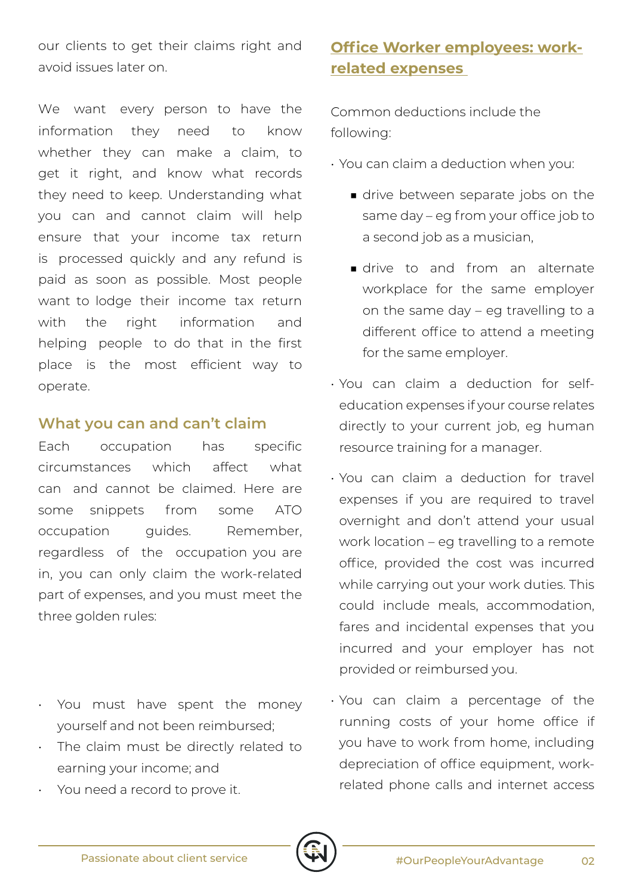our clients to get their claims right and avoid issues later on.

We want every person to have the information they need to know whether they can make a claim, to get it right, and know what records they need to keep. Understanding what you can and cannot claim will help ensure that your income tax return is processed quickly and any refund is paid as soon as possible. Most people want to lodge their income tax return with the right information and helping people to do that in the first place is the most efficient way to operate.

## **What you can and can't claim**

Each occupation has specific circumstances which affect what can and cannot be claimed. Here are some snippets from some ATO occupation guides. Remember, regardless of the occupation you are in, you can only claim the work-related part of expenses, and you must meet the three golden rules:

- You must have spent the money yourself and not been reimbursed;
- The claim must be directly related to earning your income; and
- You need a record to prove it.

## **Office Worker employees: workrelated expenses**

Common deductions include the following:

- You can claim a deduction when you:
	- drive between separate jobs on the same day – eg from your office job to a second job as a musician,
	- drive to and from an alternate workplace for the same employer on the same day – eg travelling to a different office to attend a meeting for the same employer.
- You can claim a deduction for selfeducation expenses if your course relates directly to your current job, eg human resource training for a manager.
- You can claim a deduction for travel expenses if you are required to travel overnight and don't attend your usual work location – eg travelling to a remote office, provided the cost was incurred while carrying out your work duties. This could include meals, accommodation, fares and incidental expenses that you incurred and your employer has not provided or reimbursed you.
- You can claim a percentage of the running costs of your home office if you have to work from home, including depreciation of office equipment, workrelated phone calls and internet access